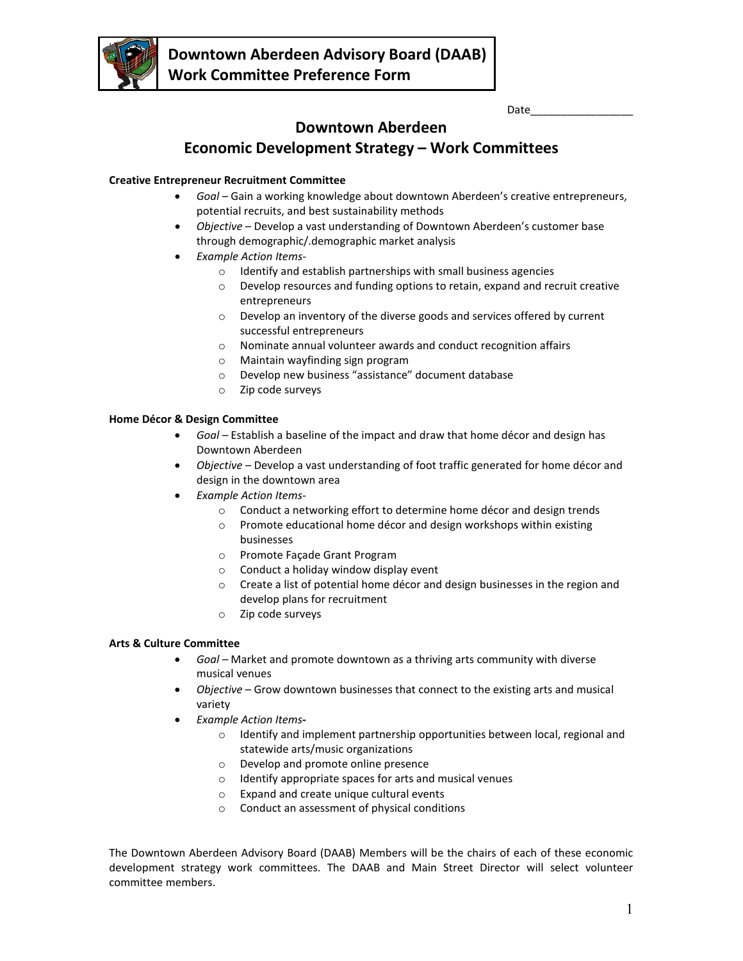

Date\_\_\_\_\_\_\_\_\_\_\_\_\_\_\_\_\_

## **Downtown Aberdeen**

# **Economic Development Strategy – Work Committees**

## **Creative Entrepreneur Recruitment Committee**

- *Goal* Gain a working knowledge about downtown Aberdeen's creative entrepreneurs, potential recruits, and best sustainability methods
- *Objective* Develop a vast understanding of Downtown Aberdeen's customer base through demographic/.demographic market analysis
- *Example Action Items*
	- o Identify and establish partnerships with small business agencies
	- o Develop resources and funding options to retain, expand and recruit creative entrepreneurs
	- o Develop an inventory of the diverse goods and services offered by current successful entrepreneurs
	- o Nominate annual volunteer awards and conduct recognition affairs
	- o Maintain wayfinding sign program
	- o Develop new business "assistance" document database
	- o Zip code surveys

### **Home Décor & Design Committee**

- *Goal –* Establish a baseline of the impact and draw that home décor and design has Downtown Aberdeen
- *Objective –* Develop a vast understanding of foot traffic generated for home décor and design in the downtown area
	- *Example Action Items*
		- o Conduct a networking effort to determine home décor and design trends
		- $\circ$  Promote educational home décor and design workshops within existing businesses
		- o Promote Façade Grant Program
		- o Conduct a holiday window display event
		- o Create a list of potential home décor and design businesses in the region and develop plans for recruitment
		- o Zip code surveys

## **Arts & Culture Committee**

- *Goal –* Market and promote downtown as a thriving arts community with diverse musical venues
- *Objective* Grow downtown businesses that connect to the existing arts and musical variety
- *Example Action Items*
	- o Identify and implement partnership opportunities between local, regional and statewide arts/music organizations
	- o Develop and promote online presence
	- o Identify appropriate spaces for arts and musical venues
	- o Expand and create unique cultural events
	- o Conduct an assessment of physical conditions

The Downtown Aberdeen Advisory Board (DAAB) Members will be the chairs of each of these economic development strategy work committees. The DAAB and Main Street Director will select volunteer committee members.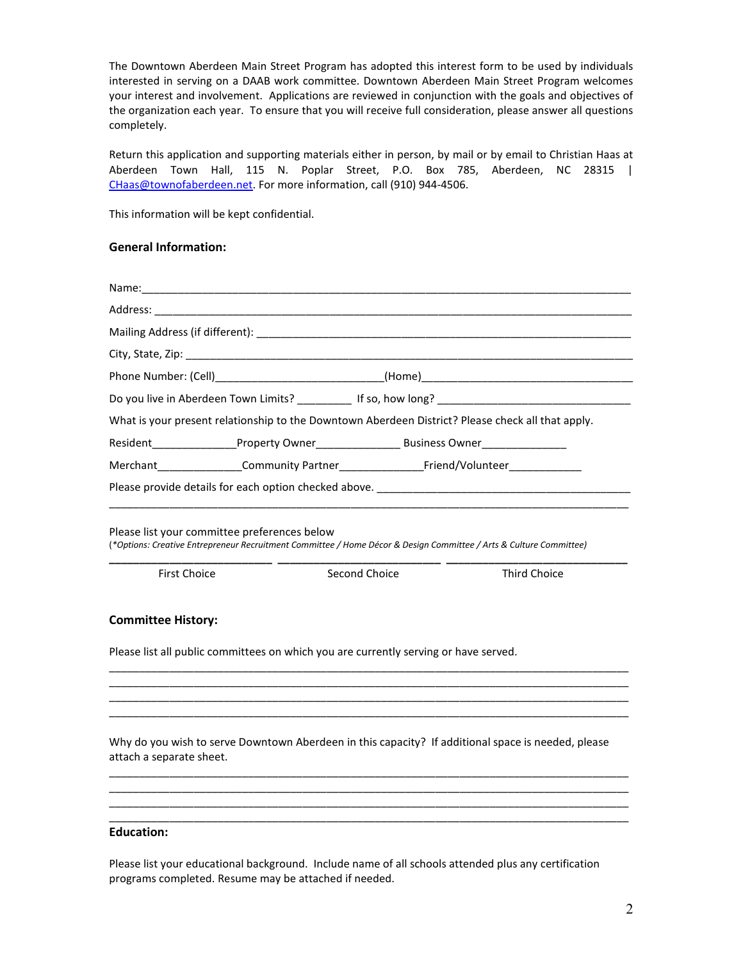The Downtown Aberdeen Main Street Program has adopted this interest form to be used by individuals interested in serving on a DAAB work committee. Downtown Aberdeen Main Street Program welcomes your interest and involvement. Applications are reviewed in conjunction with the goals and objectives of the organization each year. To ensure that you will receive full consideration, please answer all questions completely.

Return this application and supporting materials either in person, by mail or by email to Christian Haas at Aberdeen Town Hall, 115 N. Poplar Street, P.O. Box 785, Aberdeen, NC 28315 | [CHaas@townofaberdeen.net.](mailto:CHaas@townofaberdeen.net) For more information, call (910) 944-4506.

This information will be kept confidential.

#### **General Information:**

|  | Do you live in Aberdeen Town Limits? ___________ If so, how long? __________________________________ |
|--|------------------------------------------------------------------------------------------------------|
|  | What is your present relationship to the Downtown Aberdeen District? Please check all that apply.    |
|  |                                                                                                      |
|  | Merchant Community Partner Friend/Volunteer                                                          |
|  |                                                                                                      |

Please list your committee preferences below (*\*Options: Creative Entrepreneur Recruitment Committee / Home Décor & Design Committee / Arts & Culture Committee)*

| <b>First Choice</b> |
|---------------------|
|                     |

**Second Choice** Third Choice

**\_\_\_\_\_\_\_\_\_\_\_\_\_\_\_\_\_\_\_\_\_\_\_\_\_\_\_ \_\_\_\_\_\_\_\_\_\_\_\_\_\_\_\_\_\_\_\_\_\_\_\_\_\_\_ \_\_\_\_\_\_\_\_\_\_\_\_\_\_\_\_\_\_\_\_\_\_\_\_\_\_\_\_\_\_**

## **Committee History:**

Please list all public committees on which you are currently serving or have served.

Why do you wish to serve Downtown Aberdeen in this capacity? If additional space is needed, please attach a separate sheet.

\_\_\_\_\_\_\_\_\_\_\_\_\_\_\_\_\_\_\_\_\_\_\_\_\_\_\_\_\_\_\_\_\_\_\_\_\_\_\_\_\_\_\_\_\_\_\_\_\_\_\_\_\_\_\_\_\_\_\_\_\_\_\_\_\_\_\_\_\_\_\_\_\_\_\_\_\_\_\_\_\_\_\_\_\_\_ \_\_\_\_\_\_\_\_\_\_\_\_\_\_\_\_\_\_\_\_\_\_\_\_\_\_\_\_\_\_\_\_\_\_\_\_\_\_\_\_\_\_\_\_\_\_\_\_\_\_\_\_\_\_\_\_\_\_\_\_\_\_\_\_\_\_\_\_\_\_\_\_\_\_\_\_\_\_\_\_\_\_\_\_\_\_ \_\_\_\_\_\_\_\_\_\_\_\_\_\_\_\_\_\_\_\_\_\_\_\_\_\_\_\_\_\_\_\_\_\_\_\_\_\_\_\_\_\_\_\_\_\_\_\_\_\_\_\_\_\_\_\_\_\_\_\_\_\_\_\_\_\_\_\_\_\_\_\_\_\_\_\_\_\_\_\_\_\_\_\_\_\_ \_\_\_\_\_\_\_\_\_\_\_\_\_\_\_\_\_\_\_\_\_\_\_\_\_\_\_\_\_\_\_\_\_\_\_\_\_\_\_\_\_\_\_\_\_\_\_\_\_\_\_\_\_\_\_\_\_\_\_\_\_\_\_\_\_\_\_\_\_\_\_\_\_\_\_\_\_\_\_\_\_\_\_\_\_\_

\_\_\_\_\_\_\_\_\_\_\_\_\_\_\_\_\_\_\_\_\_\_\_\_\_\_\_\_\_\_\_\_\_\_\_\_\_\_\_\_\_\_\_\_\_\_\_\_\_\_\_\_\_\_\_\_\_\_\_\_\_\_\_\_\_\_\_\_\_\_\_\_\_\_\_\_\_\_\_\_\_\_\_\_\_\_ \_\_\_\_\_\_\_\_\_\_\_\_\_\_\_\_\_\_\_\_\_\_\_\_\_\_\_\_\_\_\_\_\_\_\_\_\_\_\_\_\_\_\_\_\_\_\_\_\_\_\_\_\_\_\_\_\_\_\_\_\_\_\_\_\_\_\_\_\_\_\_\_\_\_\_\_\_\_\_\_\_\_\_\_\_\_ \_\_\_\_\_\_\_\_\_\_\_\_\_\_\_\_\_\_\_\_\_\_\_\_\_\_\_\_\_\_\_\_\_\_\_\_\_\_\_\_\_\_\_\_\_\_\_\_\_\_\_\_\_\_\_\_\_\_\_\_\_\_\_\_\_\_\_\_\_\_\_\_\_\_\_\_\_\_\_\_\_\_\_\_\_\_ \_\_\_\_\_\_\_\_\_\_\_\_\_\_\_\_\_\_\_\_\_\_\_\_\_\_\_\_\_\_\_\_\_\_\_\_\_\_\_\_\_\_\_\_\_\_\_\_\_\_\_\_\_\_\_\_\_\_\_\_\_\_\_\_\_\_\_\_\_\_\_\_\_\_\_\_\_\_\_\_\_\_\_\_\_\_

#### **Education:**

Please list your educational background. Include name of all schools attended plus any certification programs completed. Resume may be attached if needed.